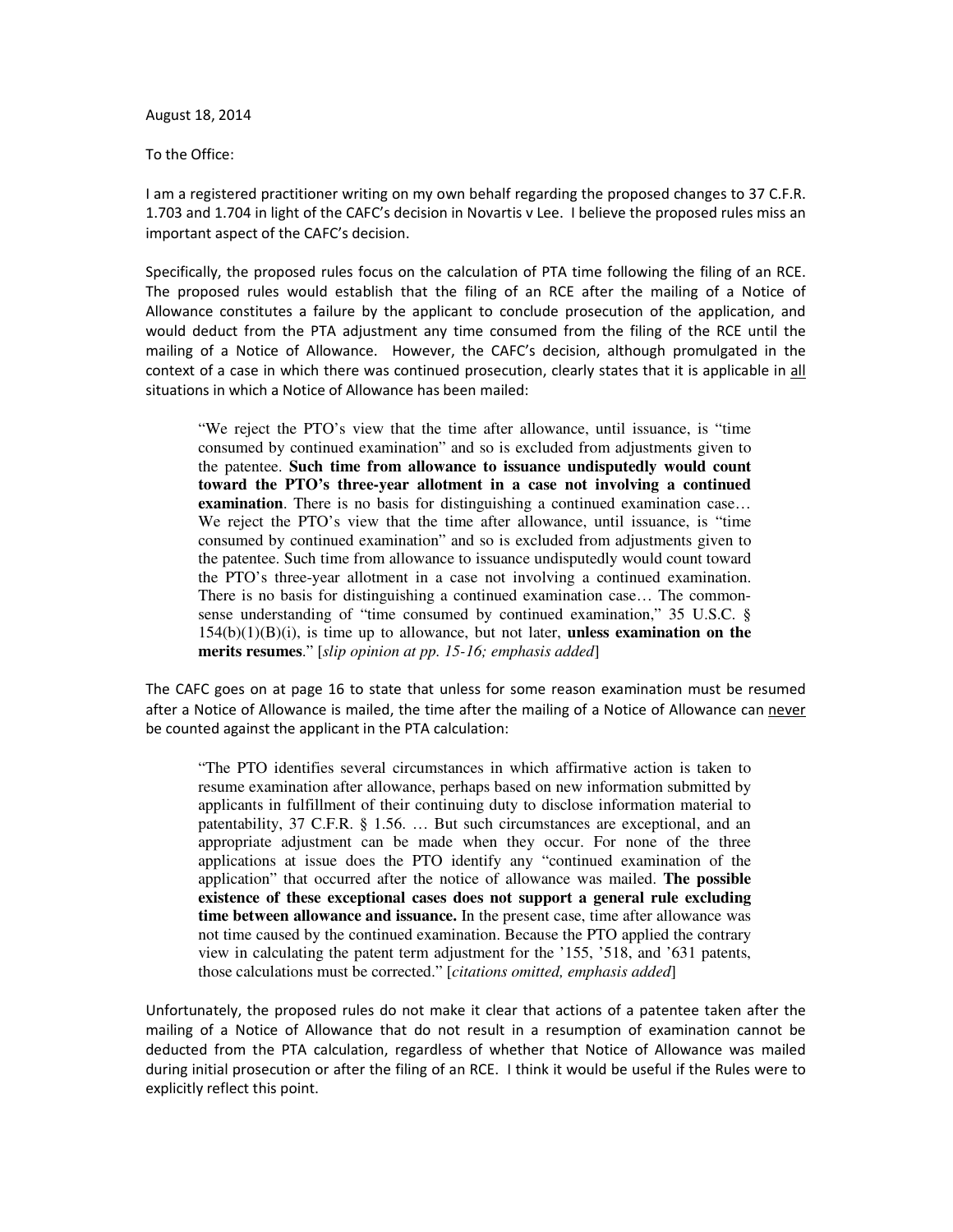August 18, 2014

To the Office:

 I am a registered practitioner writing on my own behalf regarding the proposed changes to 37 C.F.R. 1.703 and 1.704 in light of the CAFC's decision in Novartis v Lee. I believe the proposed rules miss an important aspect of the CAFC's decision.

 Specifically, the proposed rules focus on the calculation of PTA time following the filing of an RCE. The proposed rules would establish that the filing of an RCE after the mailing of a Notice of Allowance constitutes a failure by the applicant to conclude prosecution of the application, and would deduct from the PTA adjustment any time consumed from the filing of the RCE until the mailing of a Notice of Allowance. However, the CAFC's decision, although promulgated in the context of a case in which there was continued prosecution, clearly states that it is applicable in all situations in which a Notice of Allowance has been mailed:

 "We reject the PTO's view that the time after allowance, until issuance, is "time consumed by continued examination" and so is excluded from adjustments given to the patentee. **Such time from allowance to issuance undisputedly would count toward the PTO's three-year allotment in a case not involving a continued examination**. There is no basis for distinguishing a continued examination case… We reject the PTO's view that the time after allowance, until issuance, is "time consumed by continued examination" and so is excluded from adjustments given to the patentee. Such time from allowance to issuance undisputedly would count toward the PTO's three-year allotment in a case not involving a continued examination. There is no basis for distinguishing a continued examination case… The common- sense understanding of "time consumed by continued examination," 35 U.S.C. § 154(b)(1)(B)(i), is time up to allowance, but not later, **unless examination on the**   **merits resumes**." [*slip opinion at pp. 15-16; emphasis added*]

 The CAFC goes on at page 16 to state that unless for some reason examination must be resumed after a Notice of Allowance is mailed, the time after the mailing of a Notice of Allowance can never be counted against the applicant in the PTA calculation:

 "The PTO identifies several circumstances in which affirmative action is taken to resume examination after allowance, perhaps based on new information submitted by applicants in fulfillment of their continuing duty to disclose information material to patentability, 37 C.F.R. § 1.56. … But such circumstances are exceptional, and an appropriate adjustment can be made when they occur. For none of the three applications at issue does the PTO identify any "continued examination of the application" that occurred after the notice of allowance was mailed. **The possible existence of these exceptional cases does not support a general rule excluding time between allowance and issuance.** In the present case, time after allowance was not time caused by the continued examination. Because the PTO applied the contrary view in calculating the patent term adjustment for the '155, '518, and '631 patents, those calculations must be corrected." [*citations omitted, emphasis added*]

 Unfortunately, the proposed rules do not make it clear that actions of a patentee taken after the mailing of a Notice of Allowance that do not result in a resumption of examination cannot be deducted from the PTA calculation, regardless of whether that Notice of Allowance was mailed during initial prosecution or after the filing of an RCE. I think it would be useful if the Rules were to explicitly reflect this point.